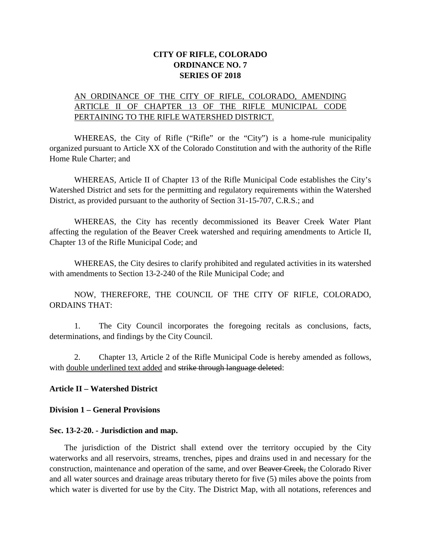# **CITY OF RIFLE, COLORADO ORDINANCE NO. 7 SERIES OF 2018**

## AN ORDINANCE OF THE CITY OF RIFLE, COLORADO, AMENDING ARTICLE II OF CHAPTER 13 OF THE RIFLE MUNICIPAL CODE PERTAINING TO THE RIFLE WATERSHED DISTRICT.

WHEREAS, the City of Rifle ("Rifle" or the "City") is a home-rule municipality organized pursuant to Article XX of the Colorado Constitution and with the authority of the Rifle Home Rule Charter; and

WHEREAS, Article II of Chapter 13 of the Rifle Municipal Code establishes the City's Watershed District and sets for the permitting and regulatory requirements within the Watershed District, as provided pursuant to the authority of Section 31-15-707, C.R.S.; and

WHEREAS, the City has recently decommissioned its Beaver Creek Water Plant affecting the regulation of the Beaver Creek watershed and requiring amendments to Article II, Chapter 13 of the Rifle Municipal Code; and

WHEREAS, the City desires to clarify prohibited and regulated activities in its watershed with amendments to Section 13-2-240 of the Rile Municipal Code; and

NOW, THEREFORE, THE COUNCIL OF THE CITY OF RIFLE, COLORADO, ORDAINS THAT:

1. The City Council incorporates the foregoing recitals as conclusions, facts, determinations, and findings by the City Council.

2. Chapter 13, Article 2 of the Rifle Municipal Code is hereby amended as follows, with double underlined text added and strike through language deleted:

### **Article II – Watershed District**

### **Division 1 – General Provisions**

### **Sec. 13-2-20. - Jurisdiction and map.**

The jurisdiction of the District shall extend over the territory occupied by the City waterworks and all reservoirs, streams, trenches, pipes and drains used in and necessary for the construction, maintenance and operation of the same, and over Beaver Creek, the Colorado River and all water sources and drainage areas tributary thereto for five (5) miles above the points from which water is diverted for use by the City. The District Map, with all notations, references and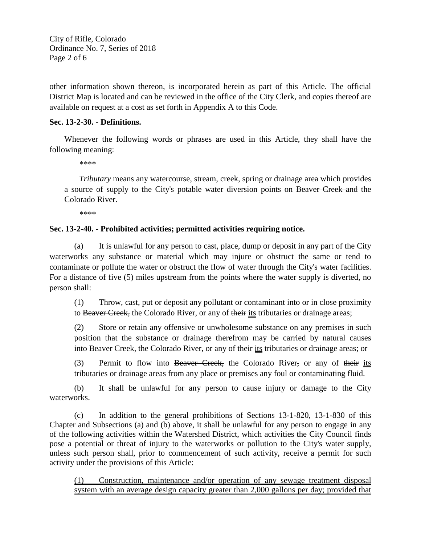City of Rifle, Colorado Ordinance No. 7, Series of 2018 Page 2 of 6

other information shown thereon, is incorporated herein as part of this Article. The official District Map is located and can be reviewed in the office of the City Clerk, and copies thereof are available on request at a cost as set forth in Appendix A to this Code.

### **Sec. 13-2-30. - Definitions.**

Whenever the following words or phrases are used in this Article, they shall have the following meaning:

*\*\*\*\**

*Tributary* means any watercourse, stream, creek, spring or drainage area which provides a source of supply to the City's potable water diversion points on Beaver Creek and the Colorado River.

*\*\*\*\**

### **Sec. 13-2-40. - Prohibited activities; permitted activities requiring notice.**

(a) It is unlawful for any person to cast, place, dump or deposit in any part of the City waterworks any substance or material which may injure or obstruct the same or tend to contaminate or pollute the water or obstruct the flow of water through the City's water facilities. For a distance of five (5) miles upstream from the points where the water supply is diverted, no person shall:

(1) Throw, cast, put or deposit any pollutant or contaminant into or in close proximity to Beaver Creek, the Colorado River, or any of their its tributaries or drainage areas;

(2) Store or retain any offensive or unwholesome substance on any premises in such position that the substance or drainage therefrom may be carried by natural causes into Beaver Creek, the Colorado River, or any of their its tributaries or drainage areas; or

(3) Permit to flow into Beaver Creek, the Colorado River, or any of their its tributaries or drainage areas from any place or premises any foul or contaminating fluid.

(b) It shall be unlawful for any person to cause injury or damage to the City waterworks.

(c) In addition to the general prohibitions of Sections 13-1-820, 13-1-830 of this Chapter and Subsections (a) and (b) above, it shall be unlawful for any person to engage in any of the following activities within the Watershed District, which activities the City Council finds pose a potential or threat of injury to the waterworks or pollution to the City's water supply, unless such person shall, prior to commencement of such activity, receive a permit for such activity under the provisions of this Article:

(1) Construction, maintenance and/or operation of any sewage treatment disposal system with an average design capacity greater than 2,000 gallons per day; provided that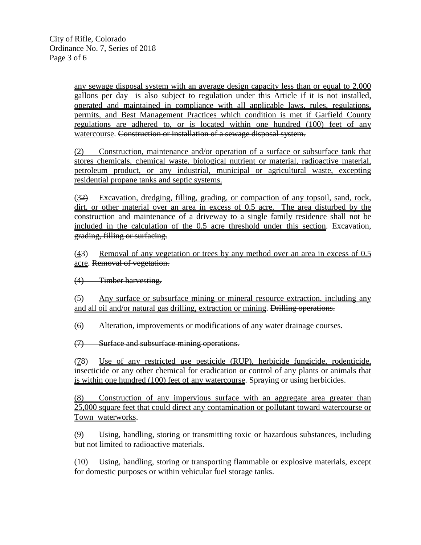any sewage disposal system with an average design capacity less than or equal to 2,000 gallons per day is also subject to regulation under this Article if it is not installed, operated and maintained in compliance with all applicable laws, rules, regulations, permits, and Best Management Practices which condition is met if Garfield County regulations are adhered to, or is located within one hundred (100) feet of any watercourse. Construction or installation of a sewage disposal system.

(2) Construction, maintenance and/or operation of a surface or subsurface tank that stores chemicals, chemical waste, biological nutrient or material, radioactive material, petroleum product, or any industrial, municipal or agricultural waste, excepting residential propane tanks and septic systems.

(32) Excavation, dredging, filling, grading, or compaction of any topsoil, sand, rock, dirt, or other material over an area in excess of 0.5 acre. The area disturbed by the construction and maintenance of a driveway to a single family residence shall not be included in the calculation of the 0.5 acre threshold under this section. Excavation, grading, filling or surfacing.

(43) Removal of any vegetation or trees by any method over an area in excess of 0.5 acre. Removal of vegetation.

(4) Timber harvesting.

(5) Any surface or subsurface mining or mineral resource extraction, including any and all oil and/or natural gas drilling, extraction or mining. Drilling operations.

(6) Alteration, improvements or modifications of any water drainage courses.

(7) Surface and subsurface mining operations.

(78) Use of any restricted use pesticide (RUP), herbicide fungicide, rodenticide, insecticide or any other chemical for eradication or control of any plants or animals that is within one hundred (100) feet of any watercourse. Spraying or using herbicides.

(8) Construction of any impervious surface with an aggregate area greater than 25,000 square feet that could direct any contamination or pollutant toward watercourse or Town waterworks.

(9) Using, handling, storing or transmitting toxic or hazardous substances, including but not limited to radioactive materials.

(10) Using, handling, storing or transporting flammable or explosive materials, except for domestic purposes or within vehicular fuel storage tanks.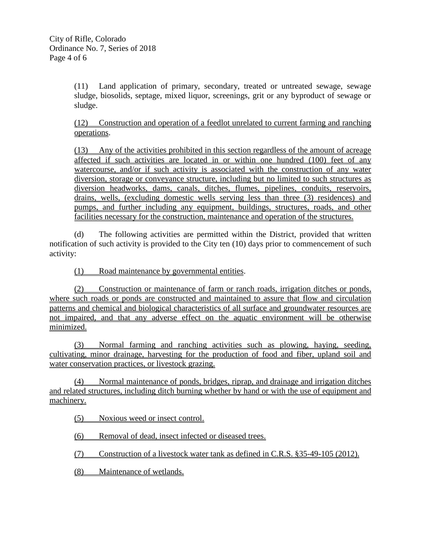(11) Land application of primary, secondary, treated or untreated sewage, sewage sludge, biosolids, septage, mixed liquor, screenings, grit or any byproduct of sewage or sludge.

(12) Construction and operation of a feedlot unrelated to current farming and ranching operations.

(13) Any of the activities prohibited in this section regardless of the amount of acreage affected if such activities are located in or within one hundred (100) feet of any watercourse, and/or if such activity is associated with the construction of any water diversion, storage or conveyance structure, including but no limited to such structures as diversion headworks, dams, canals, ditches, flumes, pipelines, conduits, reservoirs, drains, wells, (excluding domestic wells serving less than three (3) residences) and pumps, and further including any equipment, buildings, structures, roads, and other facilities necessary for the construction, maintenance and operation of the structures.

(d) The following activities are permitted within the District, provided that written notification of such activity is provided to the City ten (10) days prior to commencement of such activity:

(1) Road maintenance by governmental entities.

(2) Construction or maintenance of farm or ranch roads, irrigation ditches or ponds, where such roads or ponds are constructed and maintained to assure that flow and circulation patterns and chemical and biological characteristics of all surface and groundwater resources are not impaired, and that any adverse effect on the aquatic environment will be otherwise minimized.

(3) Normal farming and ranching activities such as plowing, haying, seeding, cultivating, minor drainage, harvesting for the production of food and fiber, upland soil and water conservation practices, or livestock grazing.

(4) Normal maintenance of ponds, bridges, riprap, and drainage and irrigation ditches and related structures, including ditch burning whether by hand or with the use of equipment and machinery.

(5) Noxious weed or insect control.

(6) Removal of dead, insect infected or diseased trees.

(7) Construction of a livestock water tank as defined in C.R.S. §35-49-105 (2012).

(8) Maintenance of wetlands.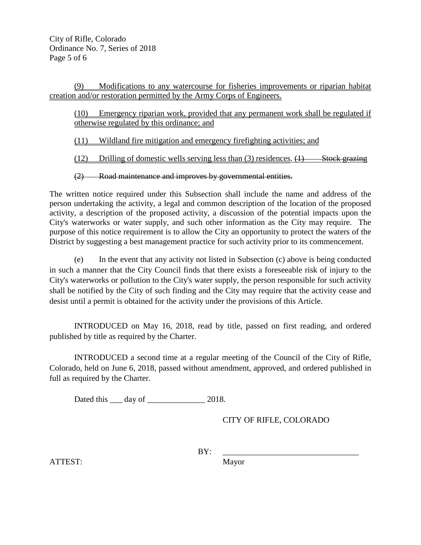(9) Modifications to any watercourse for fisheries improvements or riparian habitat creation and/or restoration permitted by the Army Corps of Engineers.

(10) Emergency riparian work, provided that any permanent work shall be regulated if otherwise regulated by this ordinance; and

(11) Wildland fire mitigation and emergency firefighting activities; and

(12) Drilling of domestic wells serving less than (3) residences.  $(1)$  Stock grazing

(2) Road maintenance and improves by governmental entities.

The written notice required under this Subsection shall include the name and address of the person undertaking the activity, a legal and common description of the location of the proposed activity, a description of the proposed activity, a discussion of the potential impacts upon the City's waterworks or water supply, and such other information as the City may require. The purpose of this notice requirement is to allow the City an opportunity to protect the waters of the District by suggesting a best management practice for such activity prior to its commencement.

(e) In the event that any activity not listed in Subsection (c) above is being conducted in such a manner that the City Council finds that there exists a foreseeable risk of injury to the City's waterworks or pollution to the City's water supply, the person responsible for such activity shall be notified by the City of such finding and the City may require that the activity cease and desist until a permit is obtained for the activity under the provisions of this Article.

INTRODUCED on May 16, 2018, read by title, passed on first reading, and ordered published by title as required by the Charter.

INTRODUCED a second time at a regular meeting of the Council of the City of Rifle, Colorado, held on June 6, 2018, passed without amendment, approved, and ordered published in full as required by the Charter.

Dated this <u>quare day of  $\frac{1}{2}$ </u> 2018.

CITY OF RIFLE, COLORADO

BY: \_\_\_\_\_\_\_\_\_\_\_\_\_\_\_\_\_\_\_\_\_\_\_\_\_\_\_\_\_\_\_\_\_

ATTEST: Mayor